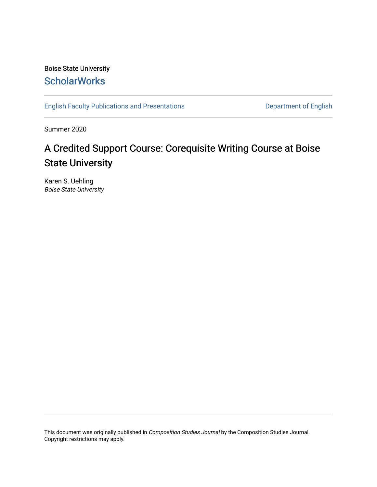## Boise State University **ScholarWorks**

[English Faculty Publications and Presentations](https://scholarworks.boisestate.edu/english_facpubs) **Department of English** 

Summer 2020

## A Credited Support Course: Corequisite Writing Course at Boise State University

Karen S. Uehling Boise State University

This document was originally published in Composition Studies Journal by the Composition Studies Journal. Copyright restrictions may apply.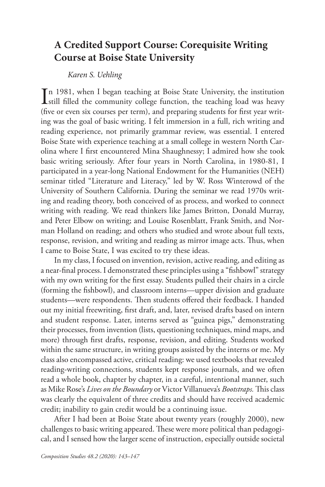## **A Credited Support Course: Corequisite Writing Course at Boise State University**

*Karen S. Uehling*

In 1981, when I began teaching at Boise State University, the institution<br>still filled the community college function, the teaching load was heavy still filled the community college function, the teaching load was heavy (five or even six courses per term), and preparing students for first year writing was the goal of basic writing. I felt immersion in a full, rich writing and reading experience, not primarily grammar review, was essential. I entered Boise State with experience teaching at a small college in western North Carolina where I first encountered Mina Shaughnessy; I admired how she took basic writing seriously. After four years in North Carolina, in 1980-81, I participated in a year-long National Endowment for the Humanities (NEH) seminar titled "Literature and Literacy," led by W. Ross Winterowd of the University of Southern California. During the seminar we read 1970s writing and reading theory, both conceived of as process, and worked to connect writing with reading. We read thinkers like James Britton, Donald Murray, and Peter Elbow on writing; and Louise Rosenblatt, Frank Smith, and Norman Holland on reading; and others who studied and wrote about full texts, response, revision, and writing and reading as mirror image acts. Thus, when I came to Boise State, I was excited to try these ideas.

In my class, I focused on invention, revision, active reading, and editing as a near-final process. I demonstrated these principles using a "fishbowl" strategy with my own writing for the first essay. Students pulled their chairs in a circle (forming the fishbowl), and classroom interns—upper division and graduate students—were respondents. Then students offered their feedback. I handed out my initial freewriting, first draft, and, later, revised drafts based on intern and student response. Later, interns served as "guinea pigs," demonstrating their processes, from invention (lists, questioning techniques, mind maps, and more) through first drafts, response, revision, and editing. Students worked within the same structure, in writing groups assisted by the interns or me. My class also encompassed active, critical reading: we used textbooks that revealed reading-writing connections, students kept response journals, and we often read a whole book, chapter by chapter, in a careful, intentional manner, such as Mike Rose's *Lives on the Boundary* or Victor Villanueva's *Bootstraps.* This class was clearly the equivalent of three credits and should have received academic credit; inability to gain credit would be a continuing issue.

After I had been at Boise State about twenty years (roughly 2000), new challenges to basic writing appeared. These were more political than pedagogical, and I sensed how the larger scene of instruction, especially outside societal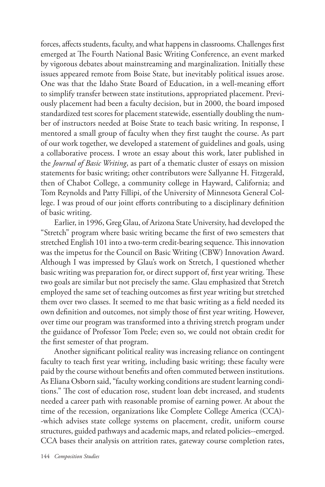forces, affects students, faculty, and what happens in classrooms. Challenges first emerged at The Fourth National Basic Writing Conference, an event marked by vigorous debates about mainstreaming and marginalization. Initially these issues appeared remote from Boise State, but inevitably political issues arose. One was that the Idaho State Board of Education, in a well-meaning effort to simplify transfer between state institutions, appropriated placement. Previously placement had been a faculty decision, but in 2000, the board imposed standardized test scores for placement statewide, essentially doubling the number of instructors needed at Boise State to teach basic writing. In response, I mentored a small group of faculty when they first taught the course. As part of our work together, we developed a statement of guidelines and goals, using a collaborative process. I wrote an essay about this work, later published in the *Journal of Basic Writing*, as part of a thematic cluster of essays on mission statements for basic writing; other contributors were Sallyanne H. Fitzgerald, then of Chabot College, a community college in Hayward, California; and Tom Reynolds and Patty Fillipi, of the University of Minnesota General College. I was proud of our joint efforts contributing to a disciplinary definition of basic writing.

Earlier, in 1996, Greg Glau, of Arizona State University, had developed the "Stretch" program where basic writing became the first of two semesters that stretched English 101 into a two-term credit-bearing sequence. This innovation was the impetus for the Council on Basic Writing (CBW) Innovation Award. Although I was impressed by Glau's work on Stretch, I questioned whether basic writing was preparation for, or direct support of, first year writing. These two goals are similar but not precisely the same. Glau emphasized that Stretch employed the same set of teaching outcomes as first year writing but stretched them over two classes. It seemed to me that basic writing as a field needed its own definition and outcomes, not simply those of first year writing. However, over time our program was transformed into a thriving stretch program under the guidance of Professor Tom Peele; even so, we could not obtain credit for the first semester of that program.

Another significant political reality was increasing reliance on contingent faculty to teach first year writing, including basic writing; these faculty were paid by the course without benefits and often commuted between institutions. As Eliana Osborn said, "faculty working conditions are student learning conditions." The cost of education rose, student loan debt increased, and students needed a career path with reasonable promise of earning power. At about the time of the recession, organizations like Complete College America (CCA)- -which advises state college systems on placement, credit, uniform course structures, guided pathways and academic maps, and related policies--emerged. CCA bases their analysis on attrition rates, gateway course completion rates,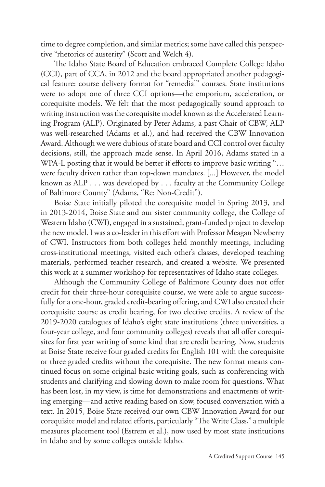time to degree completion, and similar metrics; some have called this perspective "rhetorics of austerity" (Scott and Welch 4).

The Idaho State Board of Education embraced Complete College Idaho (CCI), part of CCA, in 2012 and the board appropriated another pedagogical feature: course delivery format for "remedial" courses. State institutions were to adopt one of three CCI options—the emporium, acceleration, or corequisite models. We felt that the most pedagogically sound approach to writing instruction was the corequisite model known as the Accelerated Learning Program (ALP). Originated by Peter Adams, a past Chair of CBW, ALP was well-researched (Adams et al.), and had received the CBW Innovation Award. Although we were dubious of state board and CCI control over faculty decisions, still, the approach made sense. In April 2016, Adams stated in a WPA-L posting that it would be better if efforts to improve basic writing "… were faculty driven rather than top-down mandates. [...] However, the model known as ALP . . . was developed by . . . faculty at the Community College of Baltimore County" (Adams, "Re: Non-Credit").

Boise State initially piloted the corequisite model in Spring 2013, and in 2013-2014, Boise State and our sister community college, the College of Western Idaho (CWI), engaged in a sustained, grant-funded project to develop the new model. I was a co-leader in this effort with Professor Meagan Newberry of CWI. Instructors from both colleges held monthly meetings, including cross-institutional meetings, visited each other's classes, developed teaching materials, performed teacher research, and created a website. We presented this work at a summer workshop for representatives of Idaho state colleges.

Although the Community College of Baltimore County does not offer credit for their three-hour corequisite course, we were able to argue successfully for a one-hour, graded credit-bearing offering, and CWI also created their corequisite course as credit bearing, for two elective credits. A review of the 2019-2020 catalogues of Idaho's eight state institutions (three universities, a four-year college, and four community colleges) reveals that all offer corequisites for first year writing of some kind that are credit bearing. Now, students at Boise State receive four graded credits for English 101 with the corequisite or three graded credits without the corequisite. The new format means continued focus on some original basic writing goals, such as conferencing with students and clarifying and slowing down to make room for questions. What has been lost, in my view, is time for demonstrations and enactments of writing emerging—and active reading based on slow, focused conversation with a text. In 2015, Boise State received our own CBW Innovation Award for our corequisite model and related efforts, particularly "The Write Class," a multiple measures placement tool (Estrem et al.), now used by most state institutions in Idaho and by some colleges outside Idaho.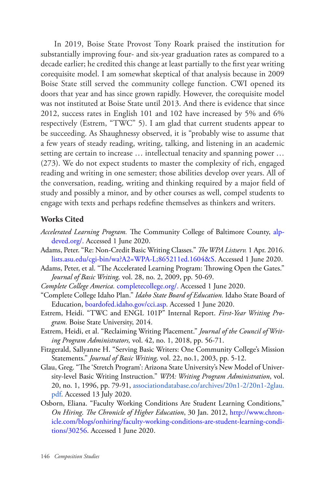In 2019, Boise State Provost Tony Roark praised the institution for substantially improving four- and six-year graduation rates as compared to a decade earlier; he credited this change at least partially to the first year writing corequisite model. I am somewhat skeptical of that analysis because in 2009 Boise State still served the community college function. CWI opened its doors that year and has since grown rapidly. However, the corequisite model was not instituted at Boise State until 2013. And there is evidence that since 2012, success rates in English 101 and 102 have increased by 5% and 6% respectively (Estrem, "TWC" 5). I am glad that current students appear to be succeeding. As Shaughnessy observed, it is "probably wise to assume that a few years of steady reading, writing, talking, and listening in an academic setting are certain to increase … intellectual tenacity and spanning power … (273). We do not expect students to master the complexity of rich, engaged reading and writing in one semester; those abilities develop over years. All of the conversation, reading, writing and thinking required by a major field of study and possibly a minor, and by other courses as well, compel students to engage with texts and perhaps redefine themselves as thinkers and writers.

## **Works Cited**

- *Accelerated Learning Program.* The Community College of Baltimore County, [alp](http://alp-deved.org/)[deved.org/](http://alp-deved.org/). Accessed 1 June 2020.
- Adams, Peter. "Re: Non-Credit Basic Writing Classes." *The WPA Listserv.* 1 Apr. 2016. [lists.asu.edu/cgi-bin/wa?A2=WPA-L;865211ed.1604&S.](https://lists.asu.edu/cgi-bin/wa?A2=WPA-L;865211ed.1604&S) Accessed 1 June 2020.
- Adams, Peter, et al. "The Accelerated Learning Program: Throwing Open the Gates." *Journal of Basic Writing,* vol. 28, no. 2, 2009, pp. 50-69.
- *Complete College America.* [completecollege.org/](https://completecollege.org/). Accessed 1 June 2020.
- "Complete College Idaho Plan." *Idaho State Board of Education.* Idaho State Board of Education, [boardofed.idaho.gov/cci.asp.](https://boardofed.idaho.gov/cci.asp) Accessed 1 June 2020.
- Estrem, Heidi. "TWC and ENGL 101P" Internal Report. *First-Year Writing Program.* Boise State University, 2014.
- Estrem, Heidi, et al. "Reclaiming Writing Placement." *Journal of the Council of Writing Program Administrators,* vol. 42, no. 1, 2018, pp. 56-71.
- Fitzgerald, Sallyanne H. "Serving Basic Writers: One Community College's Mission Statements." *Journal of Basic Writing,* vol. 22, no.1, 2003, pp. 5-12.
- Glau, Greg. "The 'Stretch Program': Arizona State University's New Model of University-level Basic Writing Instruction." *WPA: Writing Program Administration*, vol. 20, no. 1, 1996, pp. 79-91, [associationdatabase.co/archives/20n1-2/20n1-2glau.](http://associationdatabase.co/archives/20n1-2/20n1-2glau.pdf) [pdf](http://associationdatabase.co/archives/20n1-2/20n1-2glau.pdf). Accessed 13 July 2020.
- Osborn, Eliana. "Faculty Working Conditions Are Student Learning Conditions," *On Hiring*. *The Chronicle of Higher Education*, 30 Jan. 2012, [http://www.chron](http://www.chronicle.com/blogs/onhiring/faculty-working-conditions-are-student-learning-conditions/30256)[icle.com/blogs/onhiring/faculty-working-conditions-are-student-learning-condi](http://www.chronicle.com/blogs/onhiring/faculty-working-conditions-are-student-learning-conditions/30256)[tions/30256.](http://www.chronicle.com/blogs/onhiring/faculty-working-conditions-are-student-learning-conditions/30256) Accessed 1 June 2020.